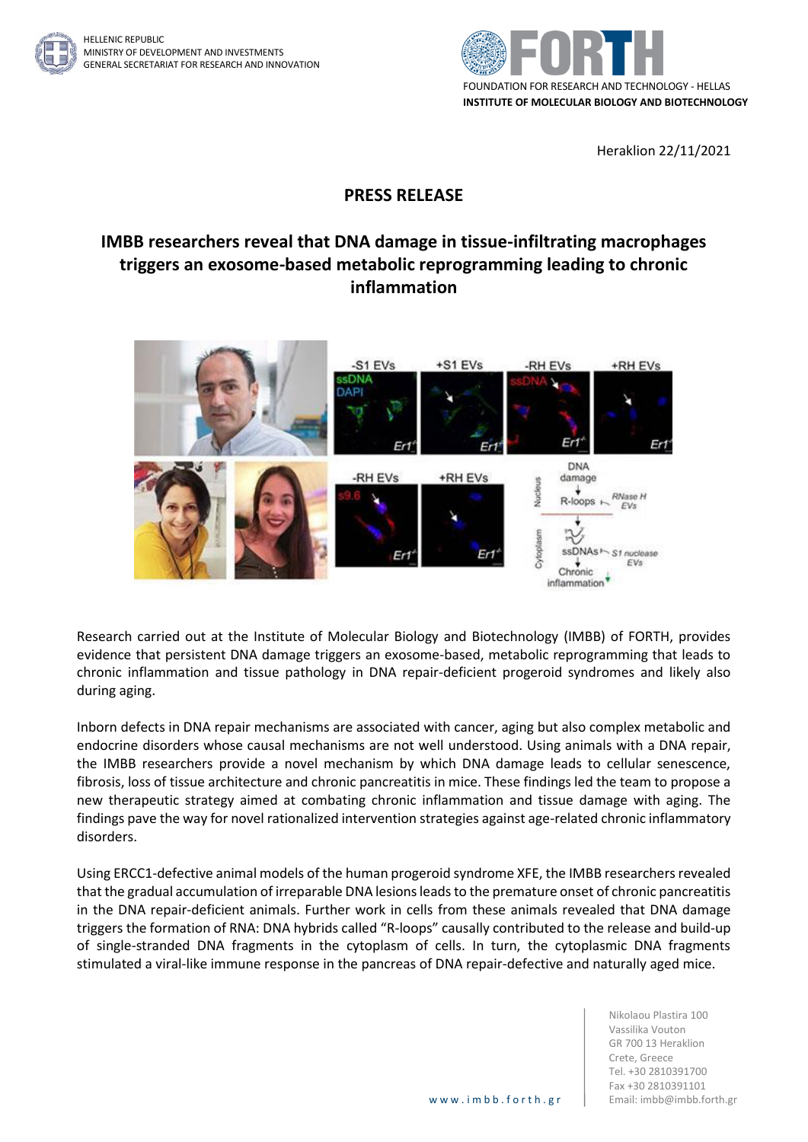



Heraklion 22/11/2021

## **PRESS RELEASE**

## **IMBB researchers reveal that DNA damage in tissue-infiltrating macrophages triggers an exosome-based metabolic reprogramming leading to chronic inflammation**



Research carried out at the Institute of Molecular Biology and Biotechnology (IMBB) of FORTH, provides evidence that persistent DNA damage triggers an exosome-based, metabolic reprogramming that leads to chronic inflammation and tissue pathology in DNA repair-deficient progeroid syndromes and likely also during aging.

Inborn defects in DNA repair mechanisms are associated with cancer, aging but also complex metabolic and endocrine disorders whose causal mechanisms are not well understood. Using animals with a DNA repair, the IMBB researchers provide a novel mechanism by which DNA damage leads to cellular senescence, fibrosis, loss of tissue architecture and chronic pancreatitis in mice. These findings led the team to propose a new therapeutic strategy aimed at combating chronic inflammation and tissue damage with aging. The findings pave the way for novel rationalized intervention strategies against age-related chronic inflammatory disorders.

Using ERCC1-defective animal models of the human progeroid syndrome XFE, the IMBB researchers revealed that the gradual accumulation of irreparable DNA lesions leads to the premature onset of chronic pancreatitis in the DNA repair-deficient animals. Further work in cells from these animals revealed that DNA damage triggers the formation of RNA: DNA hybrids called "R-loops" causally contributed to the release and build-up of single-stranded DNA fragments in the cytoplasm of cells. In turn, the cytoplasmic DNA fragments stimulated a viral-like immune response in the pancreas of DNA repair-defective and naturally aged mice.

> Nikolaou Plastira 100 Vassilika Vouton GR 700 13 Heraklion Crete, Greece Tel. +30 2810391700 Fax +30 2810391101 www.imbb.forth.gr | Email: imbb@imbb.forth.gr